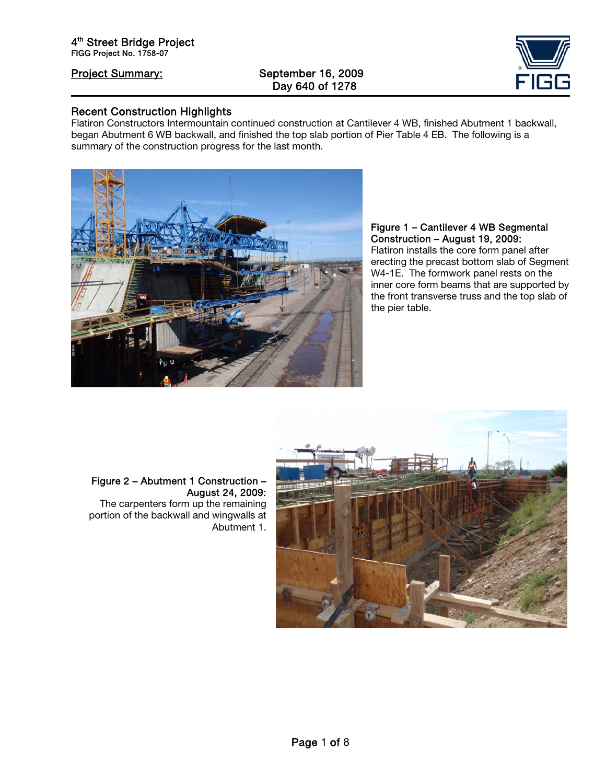# Project Summary: September 16, 2009 Day 640 of 1278



### Recent Construction Highlights

Flatiron Constructors Intermountain continued construction at Cantilever 4 WB, finished Abutment 1 backwall, began Abutment 6 WB backwall, and finished the top slab portion of Pier Table 4 EB. The following is a summary of the construction progress for the last month.



### Figure 1 – Cantilever 4 WB Segmental Construction – August 19, 2009:

Flatiron installs the core form panel after erecting the precast bottom slab of Segment W4-1E. The formwork panel rests on the inner core form beams that are supported by the front transverse truss and the top slab of the pier table.



### Figure 2 – Abutment 1 Construction – August 24, 2009:

The carpenters form up the remaining portion of the backwall and wingwalls at Abutment 1.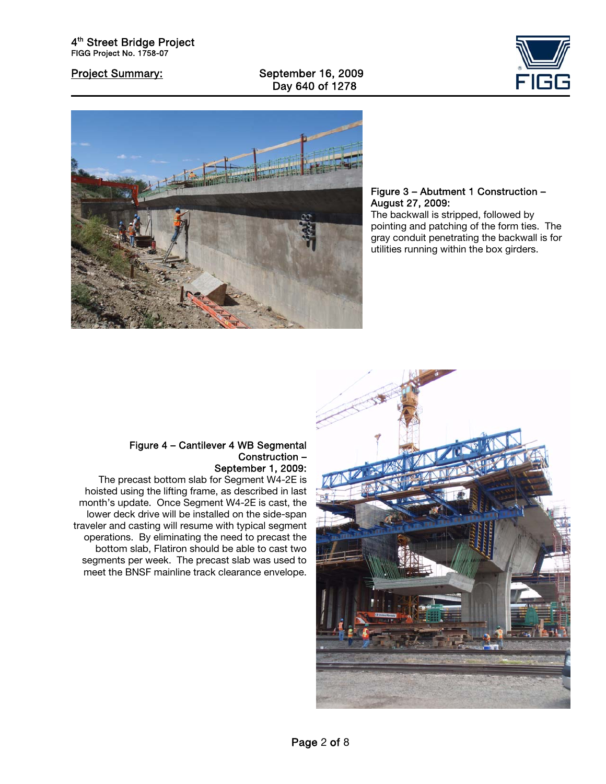Project Summary: September 16, 2009 Day 640 of 1278





### Figure 3 – Abutment 1 Construction – August 27, 2009:

The backwall is stripped, followed by pointing and patching of the form ties. The gray conduit penetrating the backwall is for utilities running within the box girders.

### Figure 4 – Cantilever 4 WB Segmental Construction – September 1, 2009:

The precast bottom slab for Segment W4-2E is hoisted using the lifting frame, as described in last month's update. Once Segment W4-2E is cast, the lower deck drive will be installed on the side-span traveler and casting will resume with typical segment operations. By eliminating the need to precast the bottom slab, Flatiron should be able to cast two segments per week. The precast slab was used to meet the BNSF mainline track clearance envelope.

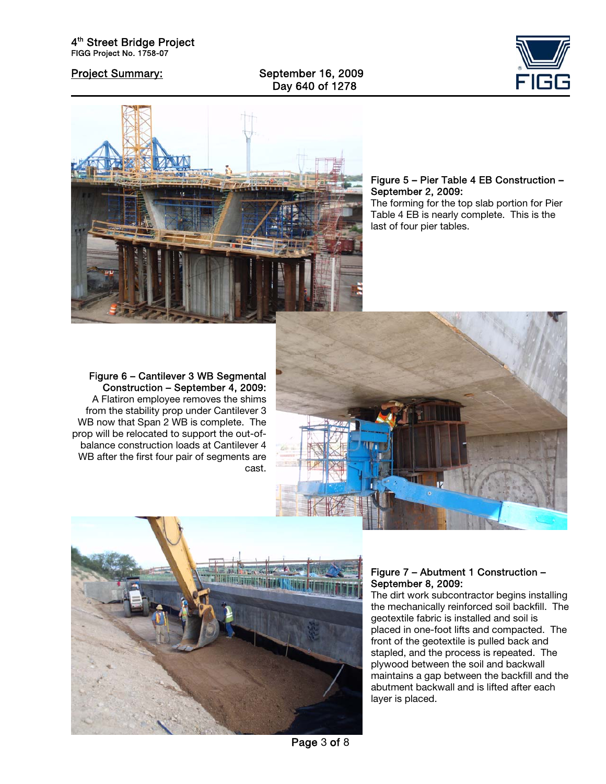Project Summary: September 16, 2009 Day 640 of 1278





Figure 5 – Pier Table 4 EB Construction – September 2, 2009: The forming for the top slab portion for Pier Table 4 EB is nearly complete. This is the

Figure 6 – Cantilever 3 WB Segmental Construction – September 4, 2009: A Flatiron employee removes the shims from the stability prop under Cantilever 3 WB now that Span 2 WB is complete. The prop will be relocated to support the out-ofbalance construction loads at Cantilever 4 WB after the first four pair of segments are cast.



last of four pier tables.



### Figure 7 – Abutment 1 Construction – September 8, 2009:

The dirt work subcontractor begins installing the mechanically reinforced soil backfill. The geotextile fabric is installed and soil is placed in one-foot lifts and compacted. The front of the geotextile is pulled back and stapled, and the process is repeated. The plywood between the soil and backwall maintains a gap between the backfill and the abutment backwall and is lifted after each layer is placed.

Page 3 of 8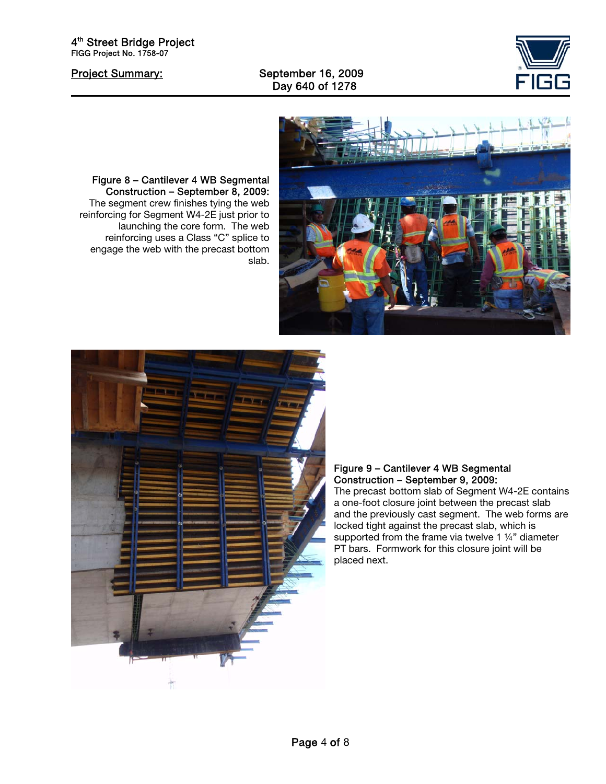Project Summary: September 16, 2009 Day 640 of 1278





Figure 8 – Cantilever 4 WB Segmental Construction – September 8, 2009: The segment crew finishes tying the web reinforcing for Segment W4-2E just prior to launching the core form. The web reinforcing uses a Class "C" splice to engage the web with the precast bottom slab.



### Figure 9 – Cantilever 4 WB Segmental Construction – September 9, 2009:

The precast bottom slab of Segment W4-2E contains a one-foot closure joint between the precast slab and the previously cast segment. The web forms are locked tight against the precast slab, which is supported from the frame via twelve 1 1/4" diameter PT bars. Formwork for this closure joint will be placed next.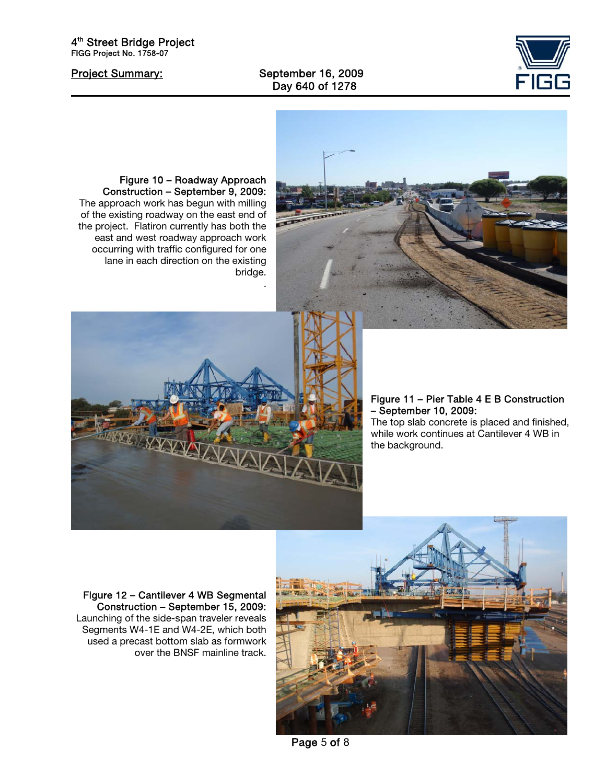Project Summary: September 16, 2009 Day 640 of 1278





Figure 10 – Roadway Approach Construction – September 9, 2009: The approach work has begun with milling of the existing roadway on the east end of the project. Flatiron currently has both the east and west roadway approach work occurring with traffic configured for one lane in each direction on the existing bridge. .



### Figure 11 – Pier Table 4 E B Construction – September 10, 2009:

The top slab concrete is placed and finished, while work continues at Cantilever 4 WB in the background.

Figure 12 – Cantilever 4 WB Segmental Construction – September 15, 2009: Launching of the side-span traveler reveals Segments W4-1E and W4-2E, which both used a precast bottom slab as formwork over the BNSF mainline track.



Page 5 of 8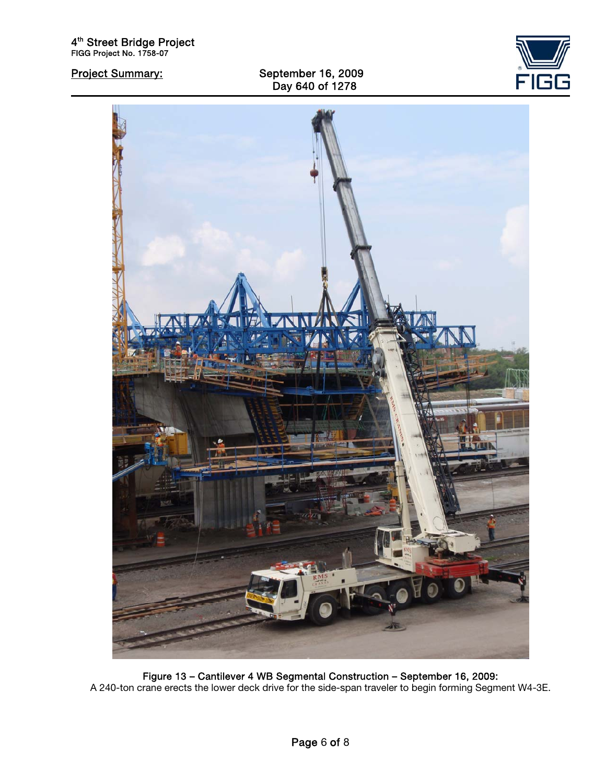Project Summary: September 16, 2009 Day 640 of 1278





Figure 13 – Cantilever 4 WB Segmental Construction – September 16, 2009: A 240-ton crane erects the lower deck drive for the side-span traveler to begin forming Segment W4-3E.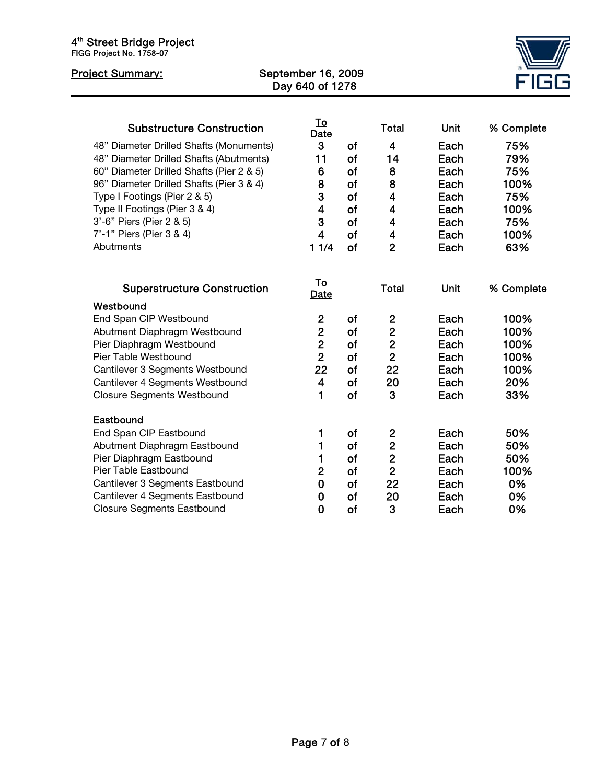| 4 <sup>th</sup> Street Bridge Project<br>FIGG Project No. 1758-07                                                                                                                                                                                                                                                                                    |                    |                                                                                                 |                                                      |                                                                                                                                                                              |                                                                                     |                                                                              |
|------------------------------------------------------------------------------------------------------------------------------------------------------------------------------------------------------------------------------------------------------------------------------------------------------------------------------------------------------|--------------------|-------------------------------------------------------------------------------------------------|------------------------------------------------------|------------------------------------------------------------------------------------------------------------------------------------------------------------------------------|-------------------------------------------------------------------------------------|------------------------------------------------------------------------------|
| <b>Project Summary:</b>                                                                                                                                                                                                                                                                                                                              | September 16, 2009 | Day 640 of 1278                                                                                 |                                                      |                                                                                                                                                                              |                                                                                     |                                                                              |
| <b>Substructure Construction</b><br>48" Diameter Drilled Shafts (Monuments)<br>48" Diameter Drilled Shafts (Abutments)<br>60" Diameter Drilled Shafts (Pier 2 & 5)<br>96" Diameter Drilled Shafts (Pier 3 & 4)<br>Type I Footings (Pier 2 & 5)<br>Type II Footings (Pier 3 & 4)<br>3'-6" Piers (Pier 2 & 5)<br>7'-1" Piers (Pier 3 & 4)<br>Abutments |                    | <u>To</u><br><b>Date</b><br>3<br>11<br>6<br>8<br>3<br>$\overline{\mathbf{4}}$<br>3<br>4<br>11/4 | of<br>of<br>of<br>of<br>of<br>of<br>of<br>of<br>of   | <b>Total</b><br>$\overline{4}$<br>14<br>8<br>8<br>$\overline{\mathbf{4}}$<br>$\overline{\mathbf{4}}$<br>$\overline{\mathbf{4}}$<br>$\overline{\mathbf{4}}$<br>$\overline{2}$ | <b>Unit</b><br>Each<br>Each<br>Each<br>Each<br>Each<br>Each<br>Each<br>Each<br>Each | % Complete<br>75%<br>79%<br>75%<br>100%<br>75%<br>100%<br>75%<br>100%<br>63% |
| <b>Superstructure Construction</b>                                                                                                                                                                                                                                                                                                                   |                    | <u>To</u><br>Date                                                                               |                                                      | <b>Total</b>                                                                                                                                                                 | Unit                                                                                | % Complete                                                                   |
| Westbound<br>End Span CIP Westbound<br>Abutment Diaphragm Westbound<br>Pier Diaphragm Westbound<br>Pier Table Westbound<br>Cantilever 3 Segments Westbound<br>Cantilever 4 Segments Westbound<br><b>Closure Segments Westbound</b>                                                                                                                   |                    | $\mathbf{2}$<br>$\overline{2}$<br>$\overline{2}$<br>$\overline{2}$<br>22<br>$\overline{4}$<br>1 | of<br>of<br>of<br>of<br>of<br>of<br>of               | $\overline{2}$<br>$\overline{2}$<br>$\overline{2}$<br>$\overline{2}$<br>22<br>20<br>3                                                                                        | Each<br>Each<br>Each<br>Each<br>Each<br>Each<br>Each                                | 100%<br>100%<br>100%<br>100%<br>100%<br>20%<br>33%                           |
| Eastbound<br>End Span CIP Eastbound<br>Abutment Diaphragm Eastbound<br>Pier Diaphragm Eastbound<br>Pier Table Eastbound<br>Cantilever 3 Segments Eastbound<br>Cantilever 4 Segments Eastbound<br><b>Closure Segments Eastbound</b>                                                                                                                   |                    | 1<br>1<br>1<br>$\overline{2}$<br>$\mathbf 0$<br>0<br>0                                          | of<br>of<br>of<br>of<br><b>of</b><br><b>of</b><br>of | $\mathbf{2}$<br>$\overline{2}$<br>$\overline{2}$<br>$\overline{2}$<br>22<br>20<br>3                                                                                          | Each<br>Each<br>Each<br>Each<br>Each<br>Each<br>Each                                | 50%<br>50%<br>50%<br>100%<br>0%<br>0%<br>0%                                  |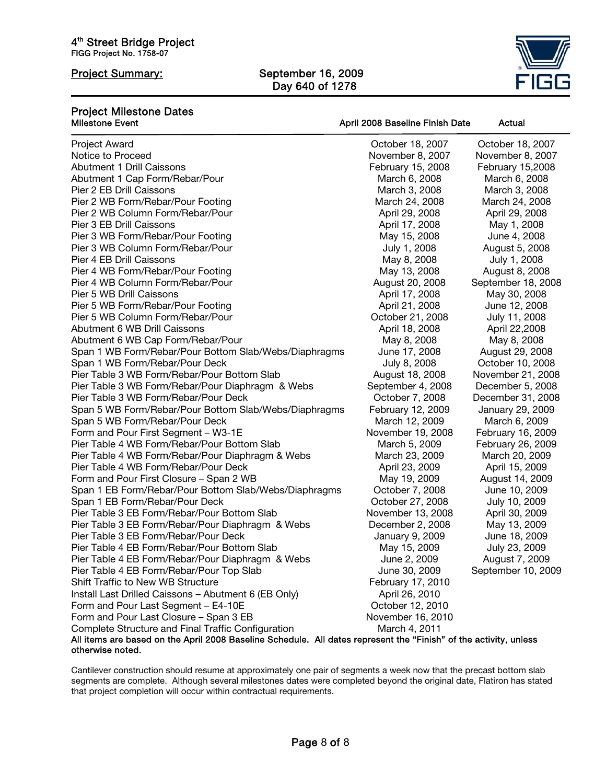# Project Summary: September 16, 2009 Day 640 of 1278



April 2008 Baseline Finish Date Actual

# Project Milestone Dates

| <b>Project Award</b>                                                                                              | October 18, 2007  | October 18, 2007   |
|-------------------------------------------------------------------------------------------------------------------|-------------------|--------------------|
| Notice to Proceed                                                                                                 | November 8, 2007  | November 8, 2007   |
| <b>Abutment 1 Drill Caissons</b>                                                                                  | February 15, 2008 | February 15,2008   |
| Abutment 1 Cap Form/Rebar/Pour                                                                                    | March 6, 2008     | March 6, 2008      |
| Pier 2 EB Drill Caissons                                                                                          | March 3, 2008     | March 3, 2008      |
| Pier 2 WB Form/Rebar/Pour Footing                                                                                 | March 24, 2008    | March 24, 2008     |
| Pier 2 WB Column Form/Rebar/Pour                                                                                  | April 29, 2008    | April 29, 2008     |
| Pier 3 EB Drill Caissons                                                                                          | April 17, 2008    | May 1, 2008        |
| Pier 3 WB Form/Rebar/Pour Footing                                                                                 | May 15, 2008      | June 4, 2008       |
| Pier 3 WB Column Form/Rebar/Pour                                                                                  | July 1, 2008      | August 5, 2008     |
| Pier 4 EB Drill Caissons                                                                                          | May 8, 2008       | July 1, 2008       |
| Pier 4 WB Form/Rebar/Pour Footing                                                                                 | May 13, 2008      | August 8, 2008     |
| Pier 4 WB Column Form/Rebar/Pour                                                                                  | August 20, 2008   | September 18, 2008 |
| Pier 5 WB Drill Caissons                                                                                          | April 17, 2008    | May 30, 2008       |
| Pier 5 WB Form/Rebar/Pour Footing                                                                                 | April 21, 2008    | June 12, 2008      |
| Pier 5 WB Column Form/Rebar/Pour                                                                                  | October 21, 2008  | July 11, 2008      |
| Abutment 6 WB Drill Caissons                                                                                      | April 18, 2008    | April 22,2008      |
| Abutment 6 WB Cap Form/Rebar/Pour                                                                                 | May 8, 2008       | May 8, 2008        |
| Span 1 WB Form/Rebar/Pour Bottom Slab/Webs/Diaphragms                                                             | June 17, 2008     | August 29, 2008    |
| Span 1 WB Form/Rebar/Pour Deck                                                                                    | July 8, 2008      | October 10, 2008   |
| Pier Table 3 WB Form/Rebar/Pour Bottom Slab                                                                       | August 18, 2008   | November 21, 2008  |
| Pier Table 3 WB Form/Rebar/Pour Diaphragm & Webs                                                                  | September 4, 2008 | December 5, 2008   |
| Pier Table 3 WB Form/Rebar/Pour Deck                                                                              | October 7, 2008   | December 31, 2008  |
| Span 5 WB Form/Rebar/Pour Bottom Slab/Webs/Diaphragms                                                             | February 12, 2009 | January 29, 2009   |
| Span 5 WB Form/Rebar/Pour Deck                                                                                    | March 12, 2009    | March 6, 2009      |
| Form and Pour First Segment - W3-1E                                                                               | November 19, 2008 | February 16, 2009  |
| Pier Table 4 WB Form/Rebar/Pour Bottom Slab                                                                       | March 5, 2009     | February 26, 2009  |
| Pier Table 4 WB Form/Rebar/Pour Diaphragm & Webs                                                                  | March 23, 2009    | March 20, 2009     |
| Pier Table 4 WB Form/Rebar/Pour Deck                                                                              | April 23, 2009    | April 15, 2009     |
| Form and Pour First Closure - Span 2 WB                                                                           | May 19, 2009      | August 14, 2009    |
| Span 1 EB Form/Rebar/Pour Bottom Slab/Webs/Diaphragms                                                             | October 7, 2008   | June 10, 2009      |
| Span 1 EB Form/Rebar/Pour Deck                                                                                    | October 27, 2008  | July 10, 2009      |
| Pier Table 3 EB Form/Rebar/Pour Bottom Slab                                                                       | November 13, 2008 | April 30, 2009     |
| Pier Table 3 EB Form/Rebar/Pour Diaphragm & Webs                                                                  | December 2, 2008  | May 13, 2009       |
| Pier Table 3 EB Form/Rebar/Pour Deck                                                                              | January 9, 2009   | June 18, 2009      |
| Pier Table 4 EB Form/Rebar/Pour Bottom Slab                                                                       | May 15, 2009      | July 23, 2009      |
| Pier Table 4 EB Form/Rebar/Pour Diaphragm & Webs                                                                  | June 2, 2009      | August 7, 2009     |
| Pier Table 4 EB Form/Rebar/Pour Top Slab                                                                          | June 30, 2009     | September 10, 2009 |
| Shift Traffic to New WB Structure                                                                                 | February 17, 2010 |                    |
| Install Last Drilled Caissons - Abutment 6 (EB Only)                                                              | April 26, 2010    |                    |
| Form and Pour Last Segment - E4-10E                                                                               | October 12, 2010  |                    |
| Form and Pour Last Closure - Span 3 EB                                                                            | November 16, 2010 |                    |
| Complete Structure and Final Traffic Configuration                                                                | March 4, 2011     |                    |
| All items are based on the April 2008 Baseline Schedule. All dates represent the "Finish" of the activity, unless |                   |                    |
| otherwise noted.                                                                                                  |                   |                    |

Cantilever construction should resume at approximately one pair of segments a week now that the precast bottom slab segments are complete. Although several milestones dates were completed beyond the original date, Flatiron has stated that project completion will occur within contractual requirements.